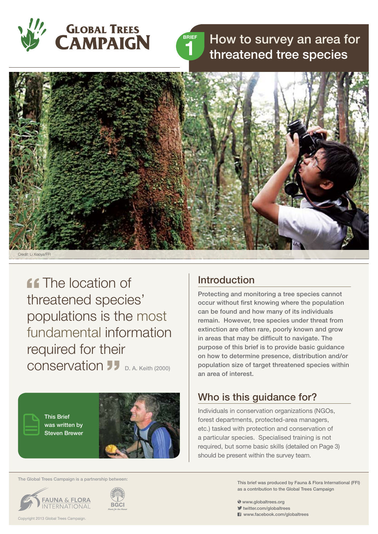



# How to survey an area for threatened tree species



**ff** The location of threatened species' populations is the most fundamental information required for their conservation D. A. Keith (2000)

> This Brief was written by Steven Brewer



#### The Global Trees Campaign is a partnership between:





# Introduction

Protecting and monitoring a tree species cannot occur without first knowing where the population can be found and how many of its individuals remain. However, tree species under threat from extinction are often rare, poorly known and grow in areas that may be difficult to navigate. The purpose of this brief is to provide basic guidance on how to determine presence, distribution and/or population size of target threatened species within an area of interest.

# Who is this guidance for?

Individuals in conservation organizations (NGOs, forest departments, protected-area managers, etc.) tasked with protection and conservation of a particular species. Specialised training is not required, but some basic skills (detailed on Page 3) should be present within the survey team.

> This brief was produced by Fauna & Flora International (FFI) as a contribution to the Global Trees Campaign

www.globaltrees.org

- twitter.com/globaltrees
- **El** www.facebook.com/globaltrees

Copyright 2013 Global Trees Campaign.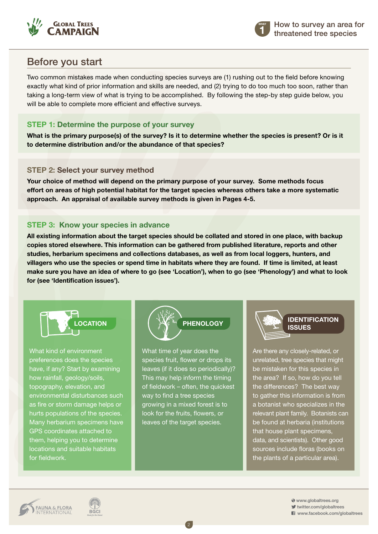



# Before you start

Two common mistakes made when conducting species surveys are (1) rushing out to the field before knowing exactly what kind of prior information and skills are needed, and (2) trying to do too much too soon, rather than taking a long-term view of what is trying to be accomplished. By following the step-by step guide below, you will be able to complete more efficient and effective surveys.

### **Step 1: Determine the purpose of your survey**

**What is the primary purpose(s) of the survey? Is it to determine whether the species is present? Or is it to determine distribution and/or the abundance of that species?** 

#### **Step 2: Select your survey method**

**Your choice of method will depend on the primary purpose of your survey. Some methods focus effort on areas of high potential habitat for the target species whereas others take a more systematic approach. An appraisal of available survey methods is given in Pages 4-5.**

### **Step 3: Know your species in advance**

**All existing information about the target species should be collated and stored in one place, with backup copies stored elsewhere. This information can be gathered from published literature, reports and other studies, herbarium specimens and collections databases, as well as from local loggers, hunters, and villagers who use the species or spend time in habitats where they are found. If time is limited, at least make sure you have an idea of where to go (see 'Location'), when to go (see 'Phenology') and what to look for (see 'Identification issues').**



What kind of environment preferences does the species have, if any? Start by examining how rainfall, geology/soils, topography, elevation, and environmental disturbances such as fire or storm damage helps or hurts populations of the species. Many herbarium specimens have GPS coordinates attached to them, helping you to determine locations and suitable habitats for fieldwork.



What time of year does the species fruit, flower or drops its leaves (if it does so periodically)? This may help inform the timing of fieldwork – often, the quickest way to find a tree species growing in a mixed forest is to look for the fruits, flowers, or leaves of the target species.

2



Are there any closely-related, or unrelated, tree species that might be mistaken for this species in the area? If so, how do you tell the differences? The best way to gather this information is from a botanist who specializes in the relevant plant family. Botanists can be found at herbaria (institutions that house plant specimens, data, and scientists). Other good sources include floras (books on the plants of a particular area).

**BGCI** 

 www.globaltrees.org twitter.com/globaltrees

**El** www.facebook.com/globaltrees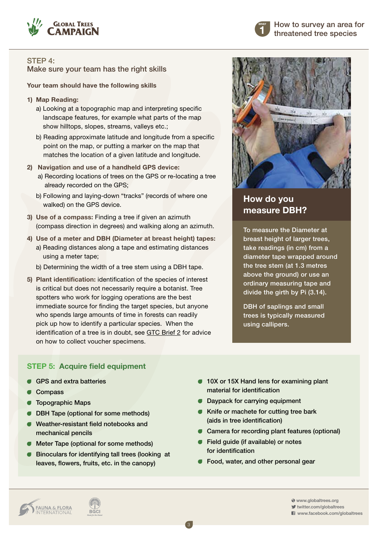



**How do you** 

**measure DBH?** 

To measure the Diameter at breast height of larger trees, take readings (in cm) from a diameter tape wrapped around the tree stem (at 1.3 metres above the ground) or use an ordinary measuring tape and divide the girth by Pi (3.14).

DBH of saplings and small trees is typically measured

STEP 4: Make sure your team has the right skills

**Your team should have the following skills**

- **1) Map Reading:** 
	- a) Looking at a topographic map and interpreting specific landscape features, for example what parts of the map show hilltops, slopes, streams, valleys etc.;
	- b) Reading approximate latitude and longitude from a specific point on the map, or putting a marker on the map that matches the location of a given latitude and longitude.
- **2) Navigation and use of a handheld GPS device:** 
	- a) Recording locations of trees on the GPS or re-locating a tree already recorded on the GPS;
	- b) Following and laying-down "tracks" (records of where one walked) on the GPS device.
- **3) Use of a compass:** Finding a tree if given an azimuth (compass direction in degrees) and walking along an azimuth.
- **4) Use of a meter and DBH (Diameter at breast height) tapes:** 
	- a) Reading distances along a tape and estimating distances using a meter tape;
	- b) Determining the width of a tree stem using a DBH tape.
- **5) Plant identification:** identification of the species of interest is critical but does not necessarily require a botanist. Tree spotters who work for logging operations are the best immediate source for finding the target species, but anyone who spends large amounts of time in forests can readily pick up how to identify a particular species. When the identification of a tree is in doubt, see [GTC Brief 2](www.globaltrees.org/resources/brief2) for advice on how to collect voucher specimens.



- GPS and extra batteries
- **Compass**
- **C** Topographic Maps
- **DBH Tape (optional for some methods)**
- Weather-resistant field notebooks and mechanical pencils
- **Meter Tape (optional for some methods)**
- Binoculars for identifying tall trees (looking at leaves, flowers, fruits, etc. in the canopy)

**10X or 15X Hand lens for examining plant** material for identification

using callipers.

- **Daypack for carrying equipment**
- **Knife or machete for cutting tree bark** (aids in tree identification)
- Camera for recording plant features (optional)
- Field quide (if available) or notes for identification

3

**Food, water, and other personal gear** 



**BGCI** 

 www.globaltrees.org twitter.com/globaltrees www.facebook.com/globaltrees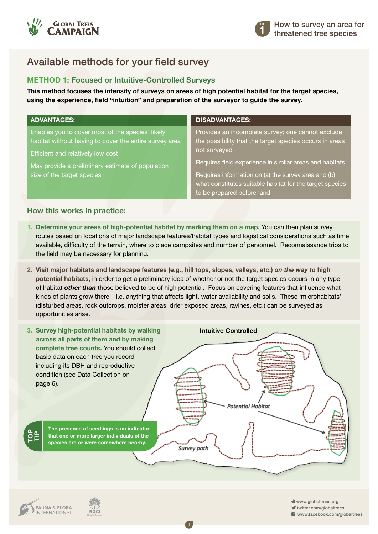

**1 BRIEF**

# Available methods for your field survey

### **Method 1: Focused or Intuitive-Controlled Surveys**

**This method focuses the intensity of surveys on areas of high potential habitat for the target species, using the experience, field "intuition" and preparation of the surveyor to guide the survey.** 

| <b>ADVANTAGES:</b>                                                                                                                                                                                                                | <b>DISADVANTAGES:</b>                                                                                                                                                                                                                                                                                                                   |
|-----------------------------------------------------------------------------------------------------------------------------------------------------------------------------------------------------------------------------------|-----------------------------------------------------------------------------------------------------------------------------------------------------------------------------------------------------------------------------------------------------------------------------------------------------------------------------------------|
| Enables you to cover most of the species' likely<br>habitat without having to cover the entire survey area<br>Efficient and relatively low cost<br>May provide a preliminary estimate of population<br>size of the target species | Provides an incomplete survey; one cannot exclude<br>the possibility that the target species occurs in areas<br>not surveyed<br>Requires field experience in similar areas and habitats<br>Requires information on (a) the survey area and (b)<br>what constitutes suitable habitat for the target species<br>to be prepared beforehand |

### **How this works in practice:**

- **1. Determine your areas of high-potential habitat by marking them on a map.** You can then plan survey routes based on locations of major landscape features/habitat types and logistical considerations such as time available, difficulty of the terrain, where to place campsites and number of personnel. Reconnaissance trips to the field may be necessary for planning.
- **2. Visit major habitats and landscape features (e.g., hill tops, slopes, valleys, etc.)** *on the way to* **high potential habitats,** in order to get a preliminary idea of whether or not the target species occurs in any type of habitat *other than* those believed to be of high potential. Focus on covering features that influence what kinds of plants grow there – i.e. anything that affects light, water availability and soils. These 'microhabitats' (disturbed areas, rock outcrops, moister areas, drier exposed areas, ravines, etc.) can be surveyed as opportunities arise.



4



 www.globaltrees.org twitter.com/globaltrees

**El** www.facebook.com/globaltrees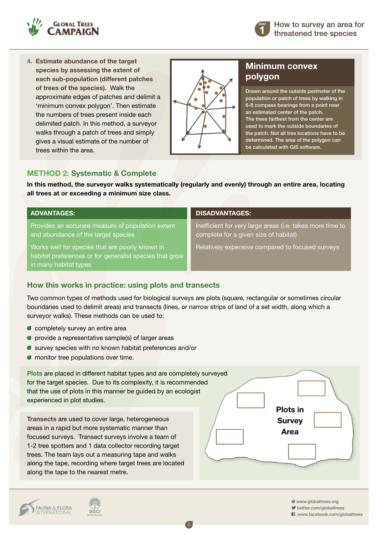

**4. Estimate abundance of the target species by assessing the extent of each sub-population (different patches of trees of the species).** Walk the approximate edges of patches and delimit a 'minimum convex polygon'. Then estimate the numbers of trees present inside each delimited patch. In this method, a surveyor walks through a patch of trees and simply gives a visual estimate of the number of trees within the area.



### **Minimum convex polygon**

**1 BRIEF**

Drawn around the outside perimeter of the population or patch of trees by walking in 6-8 compass bearings from a point near an estimated center of the patch. The trees farthest from the center are used to mark the outside boundaries of the patch. Not all tree locations have to be determined. The area of the polygon can be calculated with GIS software.

### **Method 2: Systematic & Complete**

**In this method, the surveyor walks systematically (regularly and evenly) through an entire area, locating all trees at or exceeding a minimum size class.**

Provides an accurate measure of population extent and abundance of the target species

Works well for species that are poorly known in habitat preferences or for generalist species that grow in many habitat types

#### **ADVANTAGES: DISADVANTAGES:**

Inefficient for very large areas (i.e. takes more time to complete for a given size of habitat)

Relatively expensive compared to focused surveys

### **How this works in practice: using plots and transects**

Two common types of methods used for biological surveys are plots (square, rectangular or sometimes circular boundaries used to delimit areas) and transects (lines, or narrow strips of land of a set width, along which a surveyor walks). These methods can be used to:

- **C** completely survey an entire area
- $\bullet$  provide a representative sample(s) of larger areas
- survey species with no known habitat preferences and/or
- $\bullet$  monitor tree populations over time.



5

www.globaltrees.org

twitter.com/globaltrees

**El** www.facebook.com/globaltrees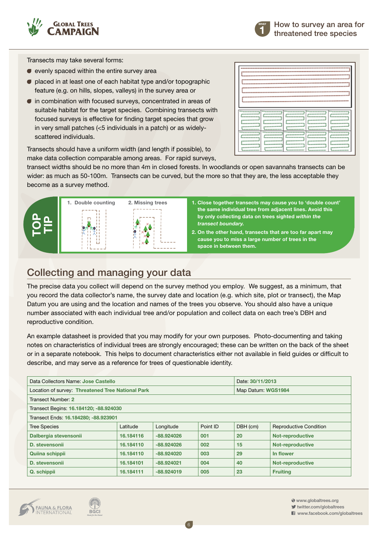



Transects may take several forms:

- $\bullet$  evenly spaced within the entire survey area
- placed in at least one of each habitat type and/or topographic feature (e.g. on hills, slopes, valleys) in the survey area or
- $\bullet$  in combination with focused surveys, concentrated in areas of suitable habitat for the target species. Combining transects with focused surveys is effective for finding target species that grow in very small patches (<5 individuals in a patch) or as widelyscattered individuals.

| -------------       | <b><i><u>BANDROMETERS</u></i></b>           | <b><i><u>SALESSERSERS</u></i></b>      | <b><i><u>PARKRESSERS</u></i></b> | <b>************</b>                    |  |  |  |
|---------------------|---------------------------------------------|----------------------------------------|----------------------------------|----------------------------------------|--|--|--|
| -----------         | ,,,,,,,,,,,,                                | ----------                             | ----------                       | -----------                            |  |  |  |
| ------------        | --------------                              | ,,,,,,,,,,,,,,                         | --------------                   | ,,,,,,,,,,,,,,                         |  |  |  |
| ----------          | ,,,,,,,,,,,,                                | -----------                            | -----------                      | ----------                             |  |  |  |
| <u>__________</u>   | <b><i><u>Association</u></i></b>            | <b><i><u><u>ARRESTERED</u></u></i></b> | <b>Rooms-Research</b>            | <b><i><u><u>Automotive</u></u></i></b> |  |  |  |
| -----------         | ----------                                  | -----------                            | -----------                      | -----------                            |  |  |  |
| -----------         | -------------                               | ------------                           | ,,,,,,,,,,,,,,                   | -----------                            |  |  |  |
| <b>TResearchere</b> | <b>TSuccessores</b>                         | -------------                          | <b>Thermometers</b>              | <b>TRANSPORTER</b>                     |  |  |  |
| -----------         | -----------                                 | ,,,,,,,,,,,,                           | -----------                      | -----------                            |  |  |  |
|                     | <b><i><u><u><u>Announce</u></u></u></i></b> | <b><i><u><u></u></u></i></b>           | <u> Loomanoon – Loomano</u>      | <b></b>                                |  |  |  |
| -----------         |                                             | ,,,,,,,,,,,,                           | -----------                      | -----------                            |  |  |  |
| ----------          | ------------                                | <b><i><u>American Comments</u></i></b> | ___________                      | ------------                           |  |  |  |
| -----------         | ,,,,,,,,,,,,,,                              | ***********                            | -----------                      | -----------                            |  |  |  |
| ----------          | ------------                                | ----------                             | ----------                       | ----------                             |  |  |  |

Transects should have a uniform width (and length if possible), to make data collection comparable among areas. For rapid surveys,

transect widths should be no more than 4m in closed forests. In woodlands or open savannahs transects can be wider: as much as 50-100m. Transects can be curved, but the more so that they are, the less acceptable they become as a survey method.



- **1. Close together transects may cause you to 'double count' the same individual tree from adjacent lines. Avoid this by only collecting data on trees sighted** *within the transect boundary.*
- **2. On the other hand, transects that are too far apart may cause you to miss a large number of trees in the space in between them.**

# Collecting and managing your data

The precise data you collect will depend on the survey method you employ. We suggest, as a minimum, that you record the data collector's name, the survey date and location (e.g. which site, plot or transect), the Map Datum you are using and the location and names of the trees you observe. You should also have a unique number associated with each individual tree and/or population and collect data on each tree's DBH and reproductive condition.

An example datasheet is provided that you may modify for your own purposes. Photo-documenting and taking notes on characteristics of individual trees are strongly encouraged; these can be written on the back of the sheet or in a separate notebook. This helps to document characteristics either not available in field guides or difficult to describe, and may serve as a reference for trees of questionable identity.

| Data Collectors Name: Jose Castello               |           |              | Date: 30/11/2013 |                    |                               |  |  |  |
|---------------------------------------------------|-----------|--------------|------------------|--------------------|-------------------------------|--|--|--|
| Location of survey: Threatened Tree National Park |           |              |                  | Map Datum: WGS1984 |                               |  |  |  |
| Transect Number: 2                                |           |              |                  |                    |                               |  |  |  |
| Transect Begins: 16.184120; -88.924030            |           |              |                  |                    |                               |  |  |  |
| Transect Ends: 16.184280; -88.923901              |           |              |                  |                    |                               |  |  |  |
| <b>Tree Species</b>                               | Latitude  | Longitude    | Point ID         | DBH (cm)           | <b>Reproductive Condition</b> |  |  |  |
| Dalbergia stevensonii                             | 16.184116 | $-88.924026$ | 001              | 20                 | <b>Not-reproductive</b>       |  |  |  |
| D. stevensonii                                    | 16.184110 | $-88.924026$ | 002              | 15                 | <b>Not-reproductive</b>       |  |  |  |
| Quiina schippii                                   | 16.184110 | $-88.924020$ | 003              | 29                 | In flower                     |  |  |  |
| D. stevensonii                                    | 16.184101 | $-88.924021$ | 004              | 40                 | <b>Not-reproductive</b>       |  |  |  |
| Q. schippii                                       | 16.184111 | $-88.924019$ | 005              | 23                 | <b>Fruiting</b>               |  |  |  |

6

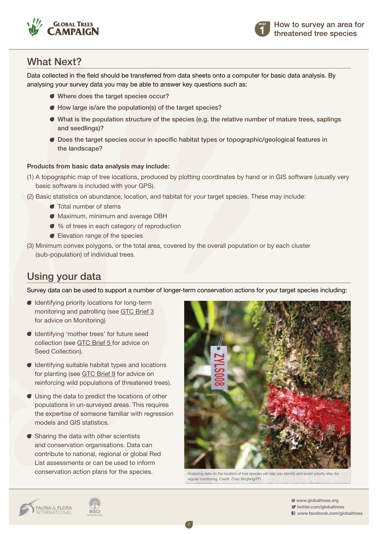



# What Next?

Data collected in the field should be transferred from data sheets onto a computer for basic data analysis. By analysing your survey data you may be able to answer key questions such as:

- Where does the target species occur?
- How large is/are the population(s) of the target species?
- What is the population structure of the species (e.g. the relative number of mature trees, saplings and seedlings)?
- Does the target species occur in specific habitat types or topographic/geological features in the landscape?

#### **Products from basic data analysis may include:**

- (1) A topographic map of tree locations, produced by plotting coordinates by hand or in GIS software (usually very basic software is included with your GPS).
- (2) Basic statistics on abundance, location, and habitat for your target species. These may include:
	- Total number of stems
	- Maximum, minimum and average DBH
	- % of trees in each category of reproduction
	- Elevation range of the species
- (3) Minimum convex polygons, or the total area, covered by the overall population or by each cluster (sub-population) of individual trees.

# Using your data

Survey data can be used to support a number of longer-term conservation actions for your target species including:

7

- Identifying priority locations for long-term monitoring and patrolling (see [GTC Brief 3](http://www.globaltrees.org/resources/brief3) for advice on Monitoring)
- Identifying 'mother trees' for future seed collection (see [GTC Brief 5](http://www.globaltrees.org/resources/brief5) for advice on Seed Collection).
- Identifying suitable habitat types and locations for planting (see [GTC Brief 9](http://www.globaltrees.org/resources/brief9) for advice on reinforcing wild populations of threatened trees).
- Using the data to predict the locations of other populations in un-surveyed areas. This requires the expertise of someone familiar with regression models and GIS statistics.
- Sharing the data with other scientists and conservation organisations. Data can contribute to national, regional or global Red List assessments or can be used to inform conservation action plans for the species.



Analysing data on the location of tree species will help you identify and revisit priority sites for regular monitoring. Credit: Zhao Xingfeng/FFI



 www.globaltrees.org twitter.com/globaltrees **El** www.facebook.com/globaltrees